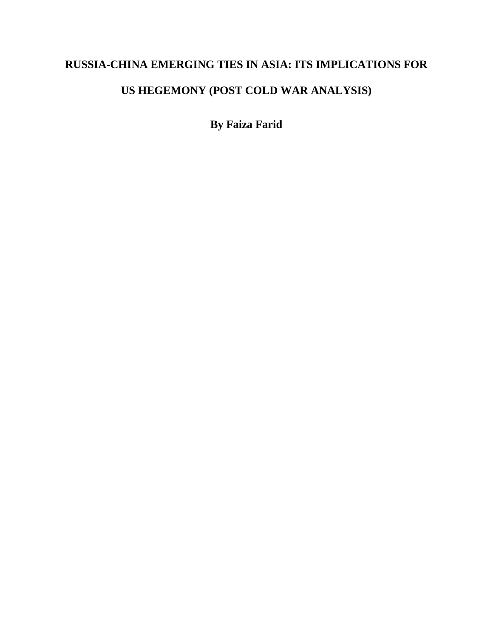# **RUSSIA-CHINA EMERGING TIES IN ASIA: ITS IMPLICATIONS FOR**

# **US HEGEMONY (POST COLD WAR ANALYSIS)**

**By Faiza Farid**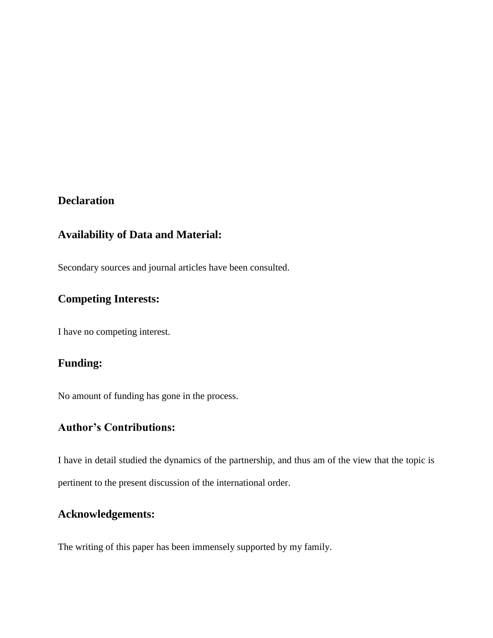## **Declaration**

### **Availability of Data and Material:**

Secondary sources and journal articles have been consulted.

## **Competing Interests:**

I have no competing interest.

## **Funding:**

No amount of funding has gone in the process.

## **Author's Contributions:**

I have in detail studied the dynamics of the partnership, and thus am of the view that the topic is pertinent to the present discussion of the international order.

### **Acknowledgements:**

The writing of this paper has been immensely supported by my family.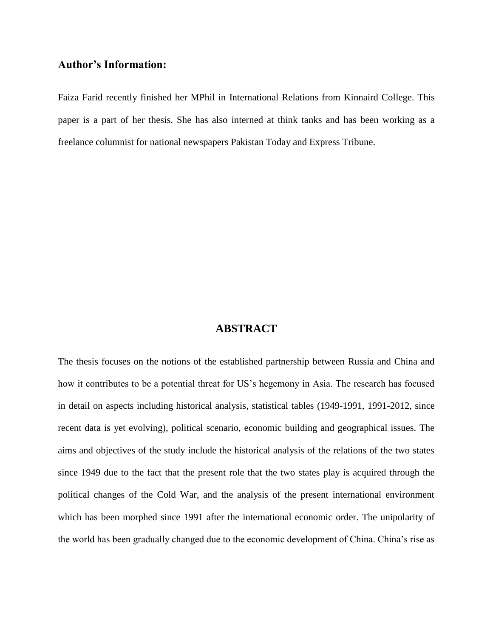### **Author's Information:**

Faiza Farid recently finished her MPhil in International Relations from Kinnaird College. This paper is a part of her thesis. She has also interned at think tanks and has been working as a freelance columnist for national newspapers Pakistan Today and Express Tribune.

#### **ABSTRACT**

The thesis focuses on the notions of the established partnership between Russia and China and how it contributes to be a potential threat for US's hegemony in Asia. The research has focused in detail on aspects including historical analysis, statistical tables (1949-1991, 1991-2012, since recent data is yet evolving), political scenario, economic building and geographical issues. The aims and objectives of the study include the historical analysis of the relations of the two states since 1949 due to the fact that the present role that the two states play is acquired through the political changes of the Cold War, and the analysis of the present international environment which has been morphed since 1991 after the international economic order. The unipolarity of the world has been gradually changed due to the economic development of China. China's rise as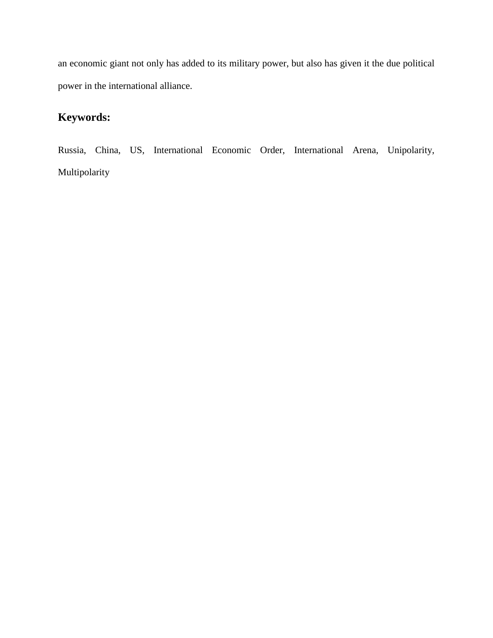an economic giant not only has added to its military power, but also has given it the due political power in the international alliance.

# **Keywords:**

Russia, China, US, International Economic Order, International Arena, Unipolarity, Multipolarity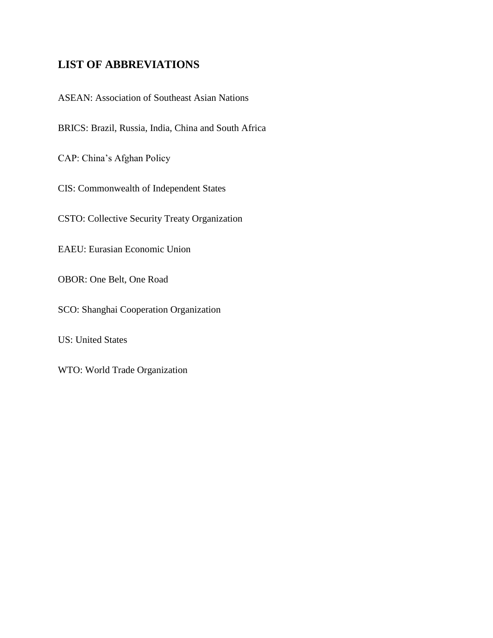# **LIST OF ABBREVIATIONS**

ASEAN: Association of Southeast Asian Nations

BRICS: Brazil, Russia, India, China and South Africa

CAP: China's Afghan Policy

CIS: Commonwealth of Independent States

CSTO: Collective Security Treaty Organization

EAEU: Eurasian Economic Union

OBOR: One Belt, One Road

SCO: Shanghai Cooperation Organization

US: United States

WTO: World Trade Organization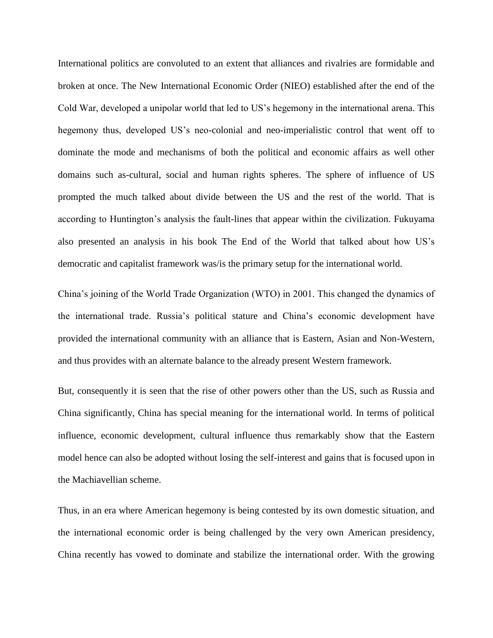International politics are convoluted to an extent that alliances and rivalries are formidable and broken at once. The New International Economic Order (NIEO) established after the end of the Cold War, developed a unipolar world that led to US's hegemony in the international arena. This hegemony thus, developed US's neo-colonial and neo-imperialistic control that went off to dominate the mode and mechanisms of both the political and economic affairs as well other domains such as-cultural, social and human rights spheres. The sphere of influence of US prompted the much talked about divide between the US and the rest of the world. That is according to Huntington's analysis the fault-lines that appear within the civilization. Fukuyama also presented an analysis in his book The End of the World that talked about how US's democratic and capitalist framework was/is the primary setup for the international world.

China's joining of the World Trade Organization (WTO) in 2001. This changed the dynamics of the international trade. Russia's political stature and China's economic development have provided the international community with an alliance that is Eastern, Asian and Non-Western, and thus provides with an alternate balance to the already present Western framework.

But, consequently it is seen that the rise of other powers other than the US, such as Russia and China significantly, China has special meaning for the international world. In terms of political influence, economic development, cultural influence thus remarkably show that the Eastern model hence can also be adopted without losing the self-interest and gains that is focused upon in the Machiavellian scheme.

Thus, in an era where American hegemony is being contested by its own domestic situation, and the international economic order is being challenged by the very own American presidency, China recently has vowed to dominate and stabilize the international order. With the growing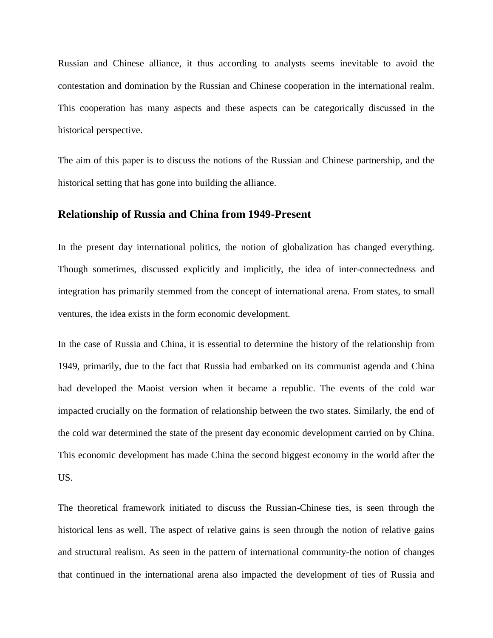Russian and Chinese alliance, it thus according to analysts seems inevitable to avoid the contestation and domination by the Russian and Chinese cooperation in the international realm. This cooperation has many aspects and these aspects can be categorically discussed in the historical perspective.

The aim of this paper is to discuss the notions of the Russian and Chinese partnership, and the historical setting that has gone into building the alliance.

#### **Relationship of Russia and China from 1949-Present**

In the present day international politics, the notion of globalization has changed everything. Though sometimes, discussed explicitly and implicitly, the idea of inter-connectedness and integration has primarily stemmed from the concept of international arena. From states, to small ventures, the idea exists in the form economic development.

In the case of Russia and China, it is essential to determine the history of the relationship from 1949, primarily, due to the fact that Russia had embarked on its communist agenda and China had developed the Maoist version when it became a republic. The events of the cold war impacted crucially on the formation of relationship between the two states. Similarly, the end of the cold war determined the state of the present day economic development carried on by China. This economic development has made China the second biggest economy in the world after the US.

The theoretical framework initiated to discuss the Russian-Chinese ties, is seen through the historical lens as well. The aspect of relative gains is seen through the notion of relative gains and structural realism. As seen in the pattern of international community-the notion of changes that continued in the international arena also impacted the development of ties of Russia and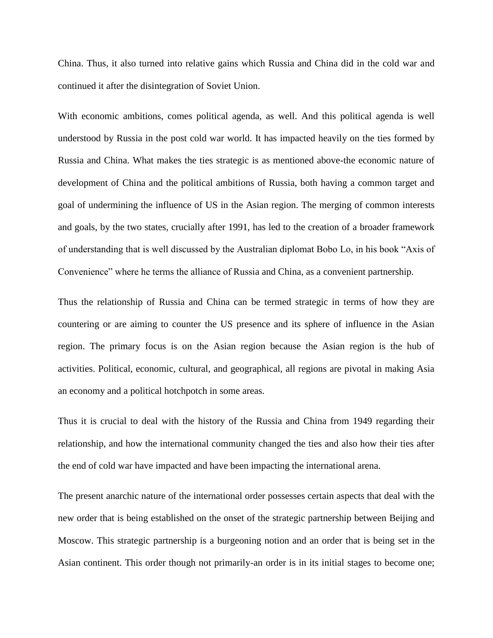China. Thus, it also turned into relative gains which Russia and China did in the cold war and continued it after the disintegration of Soviet Union.

With economic ambitions, comes political agenda, as well. And this political agenda is well understood by Russia in the post cold war world. It has impacted heavily on the ties formed by Russia and China. What makes the ties strategic is as mentioned above-the economic nature of development of China and the political ambitions of Russia, both having a common target and goal of undermining the influence of US in the Asian region. The merging of common interests and goals, by the two states, crucially after 1991, has led to the creation of a broader framework of understanding that is well discussed by the Australian diplomat Bobo Lo, in his book "Axis of Convenience" where he terms the alliance of Russia and China, as a convenient partnership.

Thus the relationship of Russia and China can be termed strategic in terms of how they are countering or are aiming to counter the US presence and its sphere of influence in the Asian region. The primary focus is on the Asian region because the Asian region is the hub of activities. Political, economic, cultural, and geographical, all regions are pivotal in making Asia an economy and a political hotchpotch in some areas.

Thus it is crucial to deal with the history of the Russia and China from 1949 regarding their relationship, and how the international community changed the ties and also how their ties after the end of cold war have impacted and have been impacting the international arena.

The present anarchic nature of the international order possesses certain aspects that deal with the new order that is being established on the onset of the strategic partnership between Beijing and Moscow. This strategic partnership is a burgeoning notion and an order that is being set in the Asian continent. This order though not primarily-an order is in its initial stages to become one;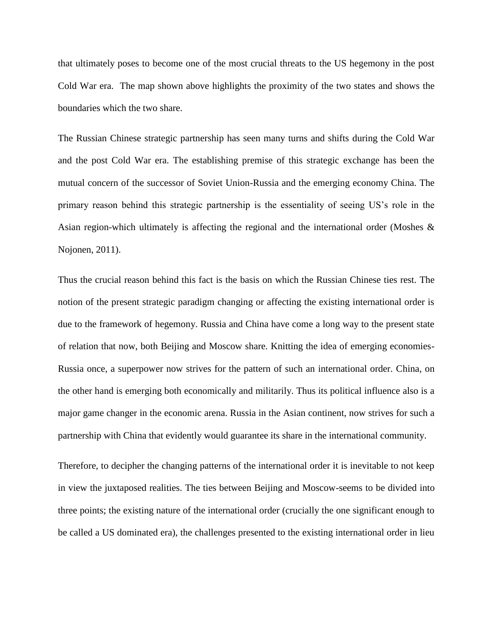that ultimately poses to become one of the most crucial threats to the US hegemony in the post Cold War era. The map shown above highlights the proximity of the two states and shows the boundaries which the two share.

The Russian Chinese strategic partnership has seen many turns and shifts during the Cold War and the post Cold War era. The establishing premise of this strategic exchange has been the mutual concern of the successor of Soviet Union-Russia and the emerging economy China. The primary reason behind this strategic partnership is the essentiality of seeing US's role in the Asian region-which ultimately is affecting the regional and the international order (Moshes  $\&$ Nojonen, 2011).

Thus the crucial reason behind this fact is the basis on which the Russian Chinese ties rest. The notion of the present strategic paradigm changing or affecting the existing international order is due to the framework of hegemony. Russia and China have come a long way to the present state of relation that now, both Beijing and Moscow share. Knitting the idea of emerging economies-Russia once, a superpower now strives for the pattern of such an international order. China, on the other hand is emerging both economically and militarily. Thus its political influence also is a major game changer in the economic arena. Russia in the Asian continent, now strives for such a partnership with China that evidently would guarantee its share in the international community.

Therefore, to decipher the changing patterns of the international order it is inevitable to not keep in view the juxtaposed realities. The ties between Beijing and Moscow-seems to be divided into three points; the existing nature of the international order (crucially the one significant enough to be called a US dominated era), the challenges presented to the existing international order in lieu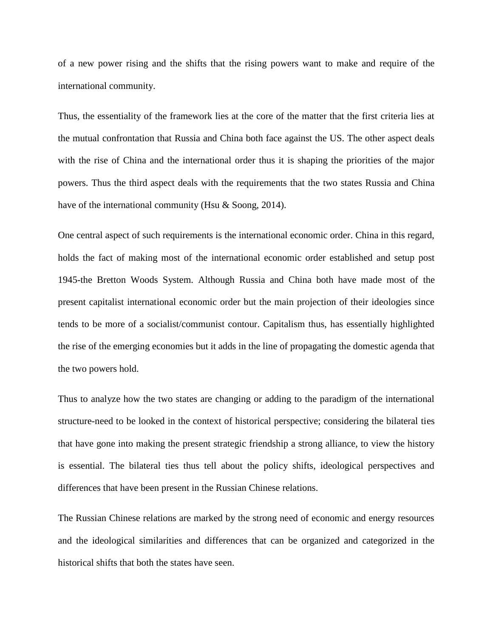of a new power rising and the shifts that the rising powers want to make and require of the international community.

Thus, the essentiality of the framework lies at the core of the matter that the first criteria lies at the mutual confrontation that Russia and China both face against the US. The other aspect deals with the rise of China and the international order thus it is shaping the priorities of the major powers. Thus the third aspect deals with the requirements that the two states Russia and China have of the international community (Hsu & Soong, 2014).

One central aspect of such requirements is the international economic order. China in this regard, holds the fact of making most of the international economic order established and setup post 1945-the Bretton Woods System. Although Russia and China both have made most of the present capitalist international economic order but the main projection of their ideologies since tends to be more of a socialist/communist contour. Capitalism thus, has essentially highlighted the rise of the emerging economies but it adds in the line of propagating the domestic agenda that the two powers hold.

Thus to analyze how the two states are changing or adding to the paradigm of the international structure-need to be looked in the context of historical perspective; considering the bilateral ties that have gone into making the present strategic friendship a strong alliance, to view the history is essential. The bilateral ties thus tell about the policy shifts, ideological perspectives and differences that have been present in the Russian Chinese relations.

The Russian Chinese relations are marked by the strong need of economic and energy resources and the ideological similarities and differences that can be organized and categorized in the historical shifts that both the states have seen.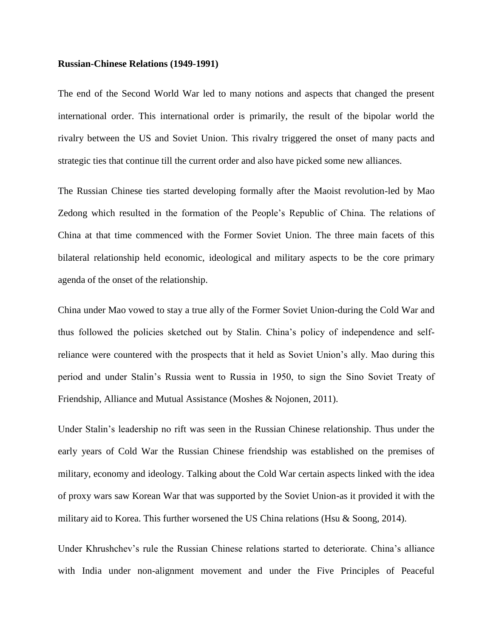#### **Russian-Chinese Relations (1949-1991)**

The end of the Second World War led to many notions and aspects that changed the present international order. This international order is primarily, the result of the bipolar world the rivalry between the US and Soviet Union. This rivalry triggered the onset of many pacts and strategic ties that continue till the current order and also have picked some new alliances.

The Russian Chinese ties started developing formally after the Maoist revolution-led by Mao Zedong which resulted in the formation of the People's Republic of China. The relations of China at that time commenced with the Former Soviet Union. The three main facets of this bilateral relationship held economic, ideological and military aspects to be the core primary agenda of the onset of the relationship.

China under Mao vowed to stay a true ally of the Former Soviet Union-during the Cold War and thus followed the policies sketched out by Stalin. China's policy of independence and selfreliance were countered with the prospects that it held as Soviet Union's ally. Mao during this period and under Stalin's Russia went to Russia in 1950, to sign the Sino Soviet Treaty of Friendship, Alliance and Mutual Assistance (Moshes & Nojonen, 2011).

Under Stalin's leadership no rift was seen in the Russian Chinese relationship. Thus under the early years of Cold War the Russian Chinese friendship was established on the premises of military, economy and ideology. Talking about the Cold War certain aspects linked with the idea of proxy wars saw Korean War that was supported by the Soviet Union-as it provided it with the military aid to Korea. This further worsened the US China relations (Hsu & Soong, 2014).

Under Khrushchev's rule the Russian Chinese relations started to deteriorate. China's alliance with India under non-alignment movement and under the Five Principles of Peaceful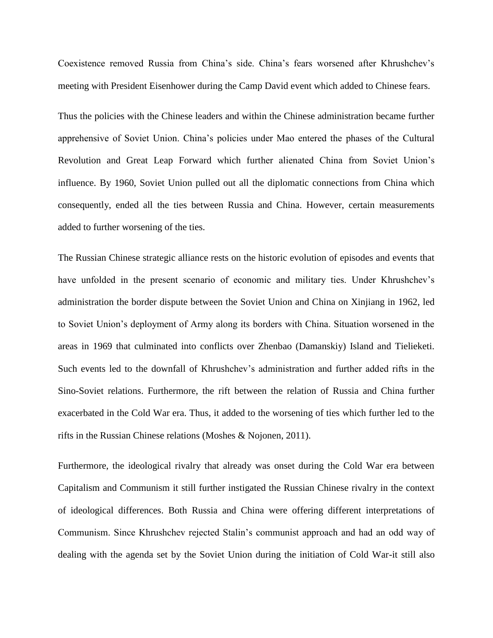Coexistence removed Russia from China's side. China's fears worsened after Khrushchev's meeting with President Eisenhower during the Camp David event which added to Chinese fears.

Thus the policies with the Chinese leaders and within the Chinese administration became further apprehensive of Soviet Union. China's policies under Mao entered the phases of the Cultural Revolution and Great Leap Forward which further alienated China from Soviet Union's influence. By 1960, Soviet Union pulled out all the diplomatic connections from China which consequently, ended all the ties between Russia and China. However, certain measurements added to further worsening of the ties.

The Russian Chinese strategic alliance rests on the historic evolution of episodes and events that have unfolded in the present scenario of economic and military ties. Under Khrushchev's administration the border dispute between the Soviet Union and China on Xinjiang in 1962, led to Soviet Union's deployment of Army along its borders with China. Situation worsened in the areas in 1969 that culminated into conflicts over Zhenbao (Damanskiy) Island and Tielieketi. Such events led to the downfall of Khrushchev's administration and further added rifts in the Sino-Soviet relations. Furthermore, the rift between the relation of Russia and China further exacerbated in the Cold War era. Thus, it added to the worsening of ties which further led to the rifts in the Russian Chinese relations (Moshes & Nojonen, 2011).

Furthermore, the ideological rivalry that already was onset during the Cold War era between Capitalism and Communism it still further instigated the Russian Chinese rivalry in the context of ideological differences. Both Russia and China were offering different interpretations of Communism. Since Khrushchev rejected Stalin's communist approach and had an odd way of dealing with the agenda set by the Soviet Union during the initiation of Cold War-it still also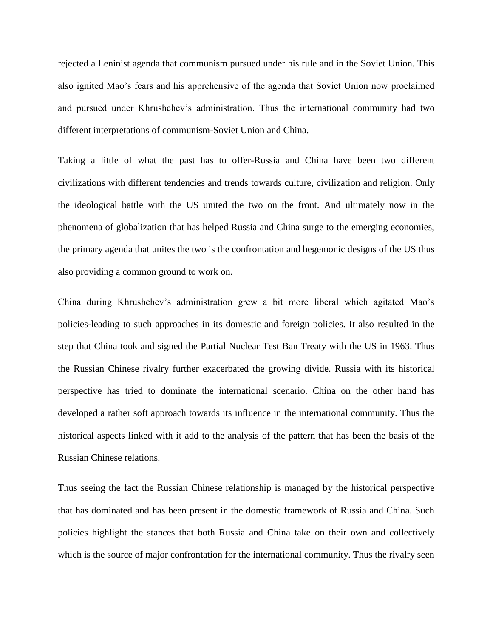rejected a Leninist agenda that communism pursued under his rule and in the Soviet Union. This also ignited Mao's fears and his apprehensive of the agenda that Soviet Union now proclaimed and pursued under Khrushchev's administration. Thus the international community had two different interpretations of communism-Soviet Union and China.

Taking a little of what the past has to offer-Russia and China have been two different civilizations with different tendencies and trends towards culture, civilization and religion. Only the ideological battle with the US united the two on the front. And ultimately now in the phenomena of globalization that has helped Russia and China surge to the emerging economies, the primary agenda that unites the two is the confrontation and hegemonic designs of the US thus also providing a common ground to work on.

China during Khrushchev's administration grew a bit more liberal which agitated Mao's policies-leading to such approaches in its domestic and foreign policies. It also resulted in the step that China took and signed the Partial Nuclear Test Ban Treaty with the US in 1963. Thus the Russian Chinese rivalry further exacerbated the growing divide. Russia with its historical perspective has tried to dominate the international scenario. China on the other hand has developed a rather soft approach towards its influence in the international community. Thus the historical aspects linked with it add to the analysis of the pattern that has been the basis of the Russian Chinese relations.

Thus seeing the fact the Russian Chinese relationship is managed by the historical perspective that has dominated and has been present in the domestic framework of Russia and China. Such policies highlight the stances that both Russia and China take on their own and collectively which is the source of major confrontation for the international community. Thus the rivalry seen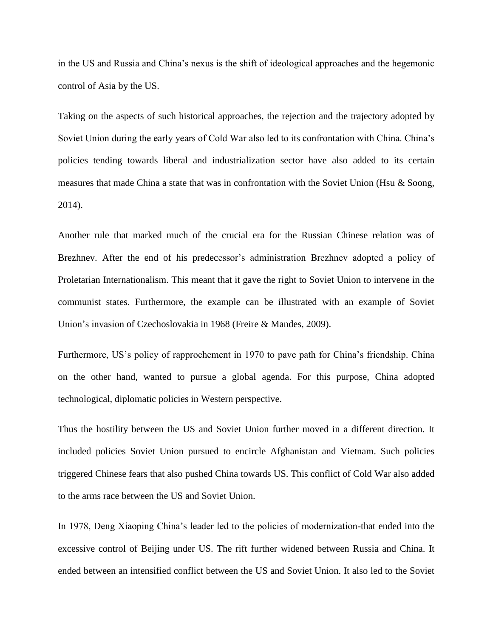in the US and Russia and China's nexus is the shift of ideological approaches and the hegemonic control of Asia by the US.

Taking on the aspects of such historical approaches, the rejection and the trajectory adopted by Soviet Union during the early years of Cold War also led to its confrontation with China. China's policies tending towards liberal and industrialization sector have also added to its certain measures that made China a state that was in confrontation with the Soviet Union (Hsu  $\&$  Soong, 2014).

Another rule that marked much of the crucial era for the Russian Chinese relation was of Brezhnev. After the end of his predecessor's administration Brezhnev adopted a policy of Proletarian Internationalism. This meant that it gave the right to Soviet Union to intervene in the communist states. Furthermore, the example can be illustrated with an example of Soviet Union's invasion of Czechoslovakia in 1968 (Freire & Mandes, 2009).

Furthermore, US's policy of rapprochement in 1970 to pave path for China's friendship. China on the other hand, wanted to pursue a global agenda. For this purpose, China adopted technological, diplomatic policies in Western perspective.

Thus the hostility between the US and Soviet Union further moved in a different direction. It included policies Soviet Union pursued to encircle Afghanistan and Vietnam. Such policies triggered Chinese fears that also pushed China towards US. This conflict of Cold War also added to the arms race between the US and Soviet Union.

In 1978, Deng Xiaoping China's leader led to the policies of modernization-that ended into the excessive control of Beijing under US. The rift further widened between Russia and China. It ended between an intensified conflict between the US and Soviet Union. It also led to the Soviet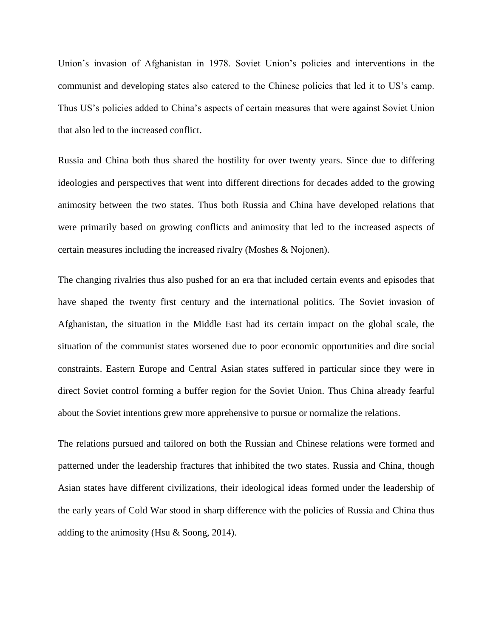Union's invasion of Afghanistan in 1978. Soviet Union's policies and interventions in the communist and developing states also catered to the Chinese policies that led it to US's camp. Thus US's policies added to China's aspects of certain measures that were against Soviet Union that also led to the increased conflict.

Russia and China both thus shared the hostility for over twenty years. Since due to differing ideologies and perspectives that went into different directions for decades added to the growing animosity between the two states. Thus both Russia and China have developed relations that were primarily based on growing conflicts and animosity that led to the increased aspects of certain measures including the increased rivalry (Moshes & Nojonen).

The changing rivalries thus also pushed for an era that included certain events and episodes that have shaped the twenty first century and the international politics. The Soviet invasion of Afghanistan, the situation in the Middle East had its certain impact on the global scale, the situation of the communist states worsened due to poor economic opportunities and dire social constraints. Eastern Europe and Central Asian states suffered in particular since they were in direct Soviet control forming a buffer region for the Soviet Union. Thus China already fearful about the Soviet intentions grew more apprehensive to pursue or normalize the relations.

The relations pursued and tailored on both the Russian and Chinese relations were formed and patterned under the leadership fractures that inhibited the two states. Russia and China, though Asian states have different civilizations, their ideological ideas formed under the leadership of the early years of Cold War stood in sharp difference with the policies of Russia and China thus adding to the animosity (Hsu & Soong, 2014).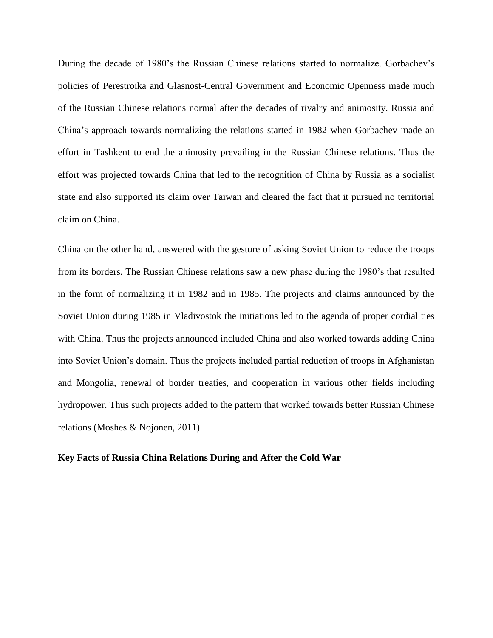During the decade of 1980's the Russian Chinese relations started to normalize. Gorbachev's policies of Perestroika and Glasnost-Central Government and Economic Openness made much of the Russian Chinese relations normal after the decades of rivalry and animosity. Russia and China's approach towards normalizing the relations started in 1982 when Gorbachev made an effort in Tashkent to end the animosity prevailing in the Russian Chinese relations. Thus the effort was projected towards China that led to the recognition of China by Russia as a socialist state and also supported its claim over Taiwan and cleared the fact that it pursued no territorial claim on China.

China on the other hand, answered with the gesture of asking Soviet Union to reduce the troops from its borders. The Russian Chinese relations saw a new phase during the 1980's that resulted in the form of normalizing it in 1982 and in 1985. The projects and claims announced by the Soviet Union during 1985 in Vladivostok the initiations led to the agenda of proper cordial ties with China. Thus the projects announced included China and also worked towards adding China into Soviet Union's domain. Thus the projects included partial reduction of troops in Afghanistan and Mongolia, renewal of border treaties, and cooperation in various other fields including hydropower. Thus such projects added to the pattern that worked towards better Russian Chinese relations (Moshes & Nojonen, 2011).

#### **Key Facts of Russia China Relations During and After the Cold War**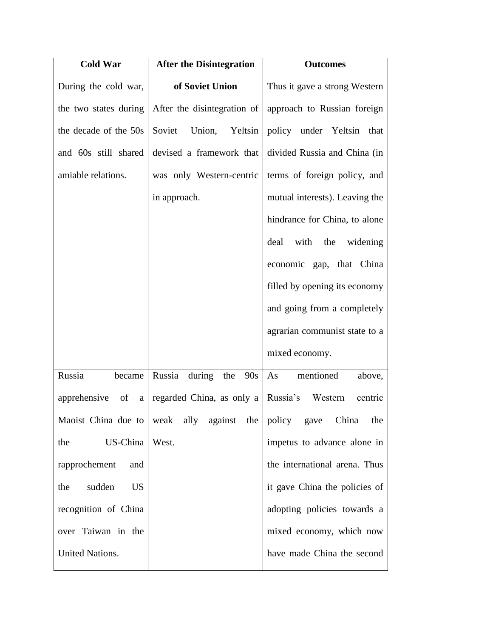| <b>Cold War</b>            | <b>After the Disintegration</b>                                 | <b>Outcomes</b>                |
|----------------------------|-----------------------------------------------------------------|--------------------------------|
| During the cold war,       | of Soviet Union                                                 | Thus it gave a strong Western  |
| the two states during      | After the disintegration of                                     | approach to Russian foreign    |
| the decade of the 50s      | Soviet<br>Union, Yeltsin                                        | policy under Yeltsin that      |
| and 60s still shared       | devised a framework that                                        | divided Russia and China (in   |
| amiable relations.         | was only Western-centric                                        | terms of foreign policy, and   |
|                            | in approach.                                                    | mutual interests). Leaving the |
|                            |                                                                 | hindrance for China, to alone  |
|                            |                                                                 | deal with the<br>widening      |
|                            |                                                                 | economic gap, that China       |
|                            |                                                                 | filled by opening its economy  |
|                            |                                                                 | and going from a completely    |
|                            |                                                                 | agrarian communist state to a  |
|                            |                                                                 | mixed economy.                 |
| Russia<br>became           | Russia<br>during<br>the<br>90s                                  | mentioned<br>As<br>above,      |
| apprehensive<br>- of<br>a  | regarded China, as only a                                       | Russia's<br>Western<br>centric |
|                            | Maoist China due to   weak ally against the   policy gave China | the                            |
| US-China<br>the            | West.                                                           | impetus to advance alone in    |
| rapprochement<br>and       |                                                                 | the international arena. Thus  |
| sudden<br><b>US</b><br>the |                                                                 | it gave China the policies of  |
| recognition of China       |                                                                 | adopting policies towards a    |
| over Taiwan in the         |                                                                 | mixed economy, which now       |
| <b>United Nations.</b>     |                                                                 | have made China the second     |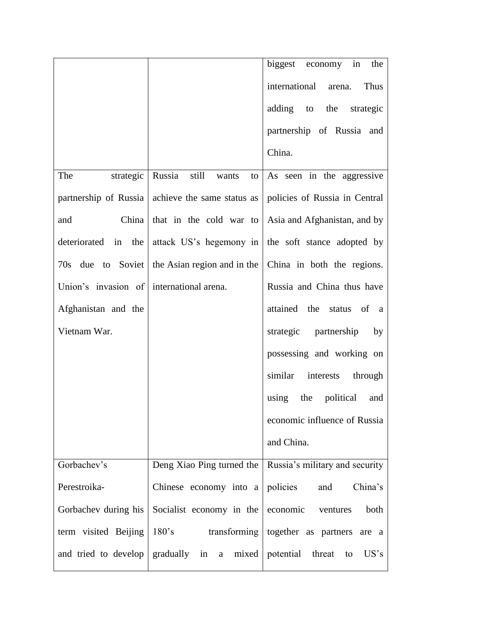|                                          |                                                 | biggest economy in<br>the                                                          |
|------------------------------------------|-------------------------------------------------|------------------------------------------------------------------------------------|
|                                          |                                                 | international<br>Thus<br>arena.                                                    |
|                                          |                                                 | adding to the strategic                                                            |
|                                          |                                                 | partnership of Russia and                                                          |
|                                          |                                                 | China.                                                                             |
| The                                      | strategic Russia still wants                    | to $\vert$ As seen in the aggressive                                               |
|                                          |                                                 | partnership of Russia   achieve the same status as   policies of Russia in Central |
| China<br>and                             | that in the cold war to                         | Asia and Afghanistan, and by                                                       |
| deteriorated in the                      | attack US's hegemony in                         | the soft stance adopted by                                                         |
|                                          | 70s due to Soviet   the Asian region and in the | China in both the regions.                                                         |
| Union's invasion of international arena. |                                                 | Russia and China thus have                                                         |
| Afghanistan and the                      |                                                 | attained the status of a                                                           |
| Vietnam War.                             |                                                 | strategic partnership by                                                           |
|                                          |                                                 | possessing and working on                                                          |
|                                          |                                                 | similar interests through                                                          |
|                                          |                                                 | using the political<br>and                                                         |
|                                          |                                                 | economic influence of Russia                                                       |
|                                          |                                                 | and China.                                                                         |
| Gorbachev's                              | Deng Xiao Ping turned the                       | Russia's military and security                                                     |
| Perestroika-                             | Chinese economy into a                          | policies<br>China's<br>and                                                         |
| Gorbachev during his                     | Socialist economy in the                        | economic<br>both<br>ventures                                                       |
| term visited Beijing                     |                                                 | 180's transforming together as partners are a                                      |
|                                          |                                                 | and tried to develop gradually in a mixed potential threat to US's                 |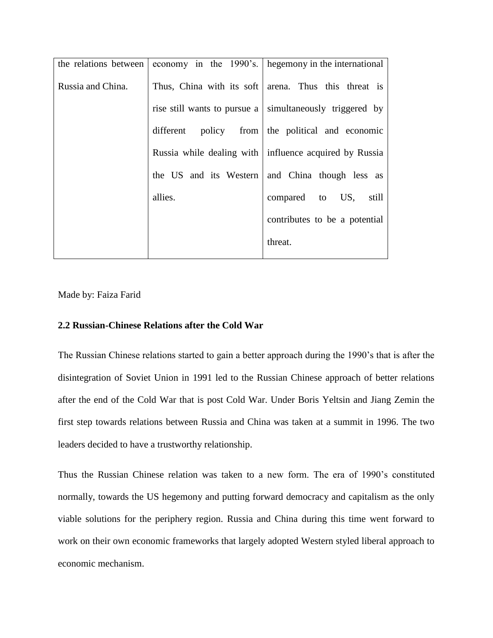|         | the relations between economy in the 1990's. hegemony in the international |
|---------|----------------------------------------------------------------------------|
|         | Thus, China with its soft arena. Thus this threat is                       |
|         | rise still wants to pursue a simultaneously triggered by                   |
|         | different policy from the political and economic                           |
|         | Russia while dealing with   influence acquired by Russia                   |
|         | the US and its Western and China though less as                            |
| allies. | compared to US, still                                                      |
|         | contributes to be a potential                                              |
|         | threat.                                                                    |
|         |                                                                            |

Made by: Faiza Farid

### **2.2 Russian-Chinese Relations after the Cold War**

The Russian Chinese relations started to gain a better approach during the 1990's that is after the disintegration of Soviet Union in 1991 led to the Russian Chinese approach of better relations after the end of the Cold War that is post Cold War. Under Boris Yeltsin and Jiang Zemin the first step towards relations between Russia and China was taken at a summit in 1996. The two leaders decided to have a trustworthy relationship.

Thus the Russian Chinese relation was taken to a new form. The era of 1990's constituted normally, towards the US hegemony and putting forward democracy and capitalism as the only viable solutions for the periphery region. Russia and China during this time went forward to work on their own economic frameworks that largely adopted Western styled liberal approach to economic mechanism.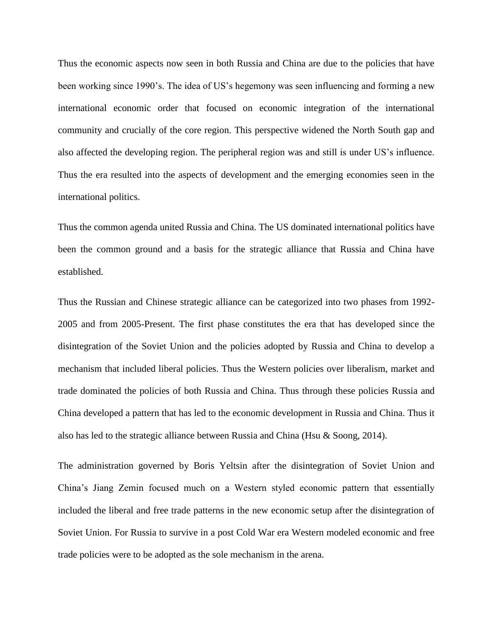Thus the economic aspects now seen in both Russia and China are due to the policies that have been working since 1990's. The idea of US's hegemony was seen influencing and forming a new international economic order that focused on economic integration of the international community and crucially of the core region. This perspective widened the North South gap and also affected the developing region. The peripheral region was and still is under US's influence. Thus the era resulted into the aspects of development and the emerging economies seen in the international politics.

Thus the common agenda united Russia and China. The US dominated international politics have been the common ground and a basis for the strategic alliance that Russia and China have established.

Thus the Russian and Chinese strategic alliance can be categorized into two phases from 1992- 2005 and from 2005-Present. The first phase constitutes the era that has developed since the disintegration of the Soviet Union and the policies adopted by Russia and China to develop a mechanism that included liberal policies. Thus the Western policies over liberalism, market and trade dominated the policies of both Russia and China. Thus through these policies Russia and China developed a pattern that has led to the economic development in Russia and China. Thus it also has led to the strategic alliance between Russia and China (Hsu & Soong, 2014).

The administration governed by Boris Yeltsin after the disintegration of Soviet Union and China's Jiang Zemin focused much on a Western styled economic pattern that essentially included the liberal and free trade patterns in the new economic setup after the disintegration of Soviet Union. For Russia to survive in a post Cold War era Western modeled economic and free trade policies were to be adopted as the sole mechanism in the arena.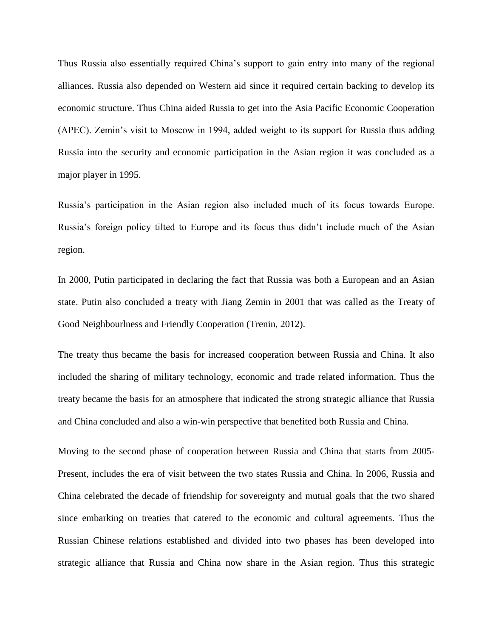Thus Russia also essentially required China's support to gain entry into many of the regional alliances. Russia also depended on Western aid since it required certain backing to develop its economic structure. Thus China aided Russia to get into the Asia Pacific Economic Cooperation (APEC). Zemin's visit to Moscow in 1994, added weight to its support for Russia thus adding Russia into the security and economic participation in the Asian region it was concluded as a major player in 1995.

Russia's participation in the Asian region also included much of its focus towards Europe. Russia's foreign policy tilted to Europe and its focus thus didn't include much of the Asian region.

In 2000, Putin participated in declaring the fact that Russia was both a European and an Asian state. Putin also concluded a treaty with Jiang Zemin in 2001 that was called as the Treaty of Good Neighbourlness and Friendly Cooperation (Trenin, 2012).

The treaty thus became the basis for increased cooperation between Russia and China. It also included the sharing of military technology, economic and trade related information. Thus the treaty became the basis for an atmosphere that indicated the strong strategic alliance that Russia and China concluded and also a win-win perspective that benefited both Russia and China.

Moving to the second phase of cooperation between Russia and China that starts from 2005- Present, includes the era of visit between the two states Russia and China. In 2006, Russia and China celebrated the decade of friendship for sovereignty and mutual goals that the two shared since embarking on treaties that catered to the economic and cultural agreements. Thus the Russian Chinese relations established and divided into two phases has been developed into strategic alliance that Russia and China now share in the Asian region. Thus this strategic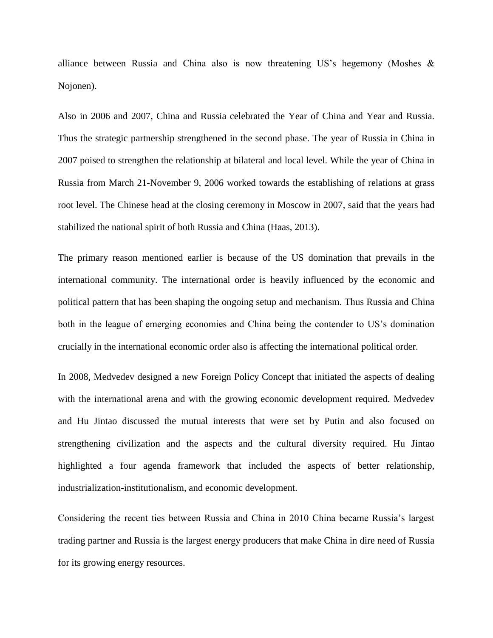alliance between Russia and China also is now threatening US's hegemony (Moshes & Nojonen).

Also in 2006 and 2007, China and Russia celebrated the Year of China and Year and Russia. Thus the strategic partnership strengthened in the second phase. The year of Russia in China in 2007 poised to strengthen the relationship at bilateral and local level. While the year of China in Russia from March 21-November 9, 2006 worked towards the establishing of relations at grass root level. The Chinese head at the closing ceremony in Moscow in 2007, said that the years had stabilized the national spirit of both Russia and China (Haas, 2013).

The primary reason mentioned earlier is because of the US domination that prevails in the international community. The international order is heavily influenced by the economic and political pattern that has been shaping the ongoing setup and mechanism. Thus Russia and China both in the league of emerging economies and China being the contender to US's domination crucially in the international economic order also is affecting the international political order.

In 2008, Medvedev designed a new Foreign Policy Concept that initiated the aspects of dealing with the international arena and with the growing economic development required. Medvedev and Hu Jintao discussed the mutual interests that were set by Putin and also focused on strengthening civilization and the aspects and the cultural diversity required. Hu Jintao highlighted a four agenda framework that included the aspects of better relationship, industrialization-institutionalism, and economic development.

Considering the recent ties between Russia and China in 2010 China became Russia's largest trading partner and Russia is the largest energy producers that make China in dire need of Russia for its growing energy resources.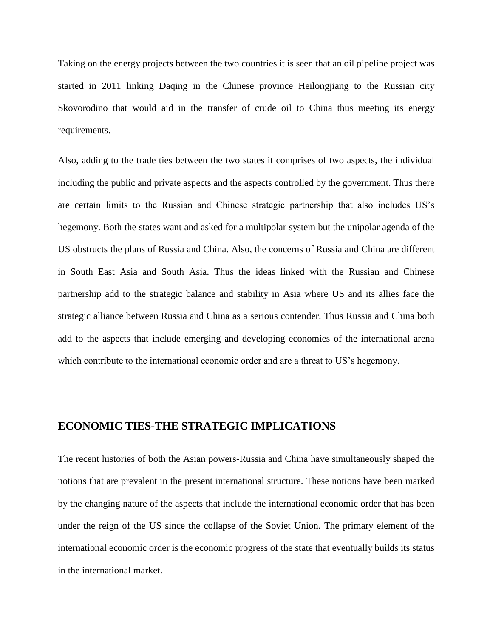Taking on the energy projects between the two countries it is seen that an oil pipeline project was started in 2011 linking Daqing in the Chinese province Heilongjiang to the Russian city Skovorodino that would aid in the transfer of crude oil to China thus meeting its energy requirements.

Also, adding to the trade ties between the two states it comprises of two aspects, the individual including the public and private aspects and the aspects controlled by the government. Thus there are certain limits to the Russian and Chinese strategic partnership that also includes US's hegemony. Both the states want and asked for a multipolar system but the unipolar agenda of the US obstructs the plans of Russia and China. Also, the concerns of Russia and China are different in South East Asia and South Asia. Thus the ideas linked with the Russian and Chinese partnership add to the strategic balance and stability in Asia where US and its allies face the strategic alliance between Russia and China as a serious contender. Thus Russia and China both add to the aspects that include emerging and developing economies of the international arena which contribute to the international economic order and are a threat to US's hegemony.

### **ECONOMIC TIES-THE STRATEGIC IMPLICATIONS**

The recent histories of both the Asian powers-Russia and China have simultaneously shaped the notions that are prevalent in the present international structure. These notions have been marked by the changing nature of the aspects that include the international economic order that has been under the reign of the US since the collapse of the Soviet Union. The primary element of the international economic order is the economic progress of the state that eventually builds its status in the international market.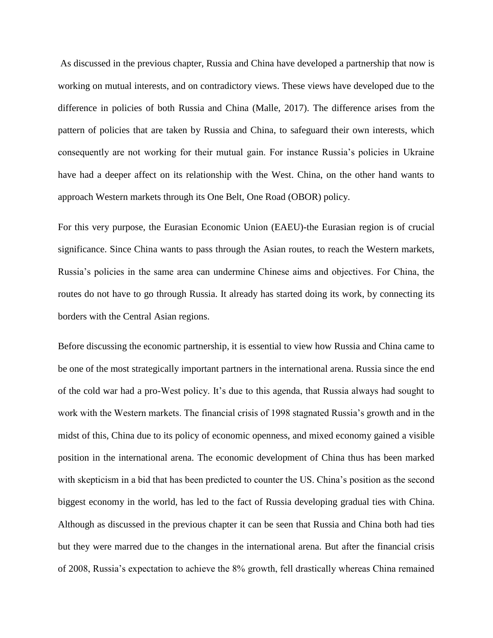As discussed in the previous chapter, Russia and China have developed a partnership that now is working on mutual interests, and on contradictory views. These views have developed due to the difference in policies of both Russia and China (Malle, 2017). The difference arises from the pattern of policies that are taken by Russia and China, to safeguard their own interests, which consequently are not working for their mutual gain. For instance Russia's policies in Ukraine have had a deeper affect on its relationship with the West. China, on the other hand wants to approach Western markets through its One Belt, One Road (OBOR) policy.

For this very purpose, the Eurasian Economic Union (EAEU)-the Eurasian region is of crucial significance. Since China wants to pass through the Asian routes, to reach the Western markets, Russia's policies in the same area can undermine Chinese aims and objectives. For China, the routes do not have to go through Russia. It already has started doing its work, by connecting its borders with the Central Asian regions.

Before discussing the economic partnership, it is essential to view how Russia and China came to be one of the most strategically important partners in the international arena. Russia since the end of the cold war had a pro-West policy. It's due to this agenda, that Russia always had sought to work with the Western markets. The financial crisis of 1998 stagnated Russia's growth and in the midst of this, China due to its policy of economic openness, and mixed economy gained a visible position in the international arena. The economic development of China thus has been marked with skepticism in a bid that has been predicted to counter the US. China's position as the second biggest economy in the world, has led to the fact of Russia developing gradual ties with China. Although as discussed in the previous chapter it can be seen that Russia and China both had ties but they were marred due to the changes in the international arena. But after the financial crisis of 2008, Russia's expectation to achieve the 8% growth, fell drastically whereas China remained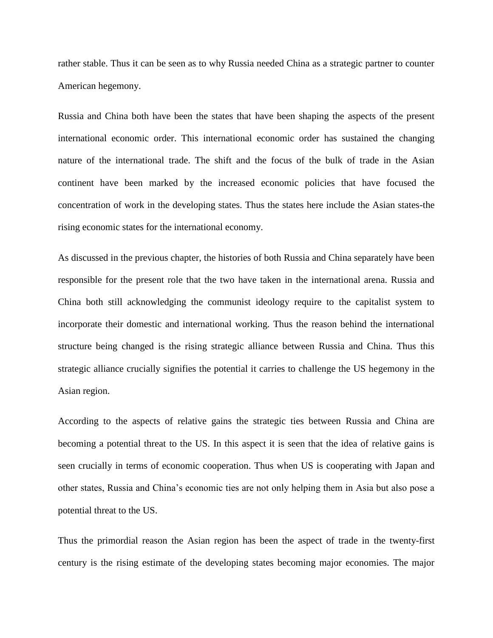rather stable. Thus it can be seen as to why Russia needed China as a strategic partner to counter American hegemony.

Russia and China both have been the states that have been shaping the aspects of the present international economic order. This international economic order has sustained the changing nature of the international trade. The shift and the focus of the bulk of trade in the Asian continent have been marked by the increased economic policies that have focused the concentration of work in the developing states. Thus the states here include the Asian states-the rising economic states for the international economy.

As discussed in the previous chapter, the histories of both Russia and China separately have been responsible for the present role that the two have taken in the international arena. Russia and China both still acknowledging the communist ideology require to the capitalist system to incorporate their domestic and international working. Thus the reason behind the international structure being changed is the rising strategic alliance between Russia and China. Thus this strategic alliance crucially signifies the potential it carries to challenge the US hegemony in the Asian region.

According to the aspects of relative gains the strategic ties between Russia and China are becoming a potential threat to the US. In this aspect it is seen that the idea of relative gains is seen crucially in terms of economic cooperation. Thus when US is cooperating with Japan and other states, Russia and China's economic ties are not only helping them in Asia but also pose a potential threat to the US.

Thus the primordial reason the Asian region has been the aspect of trade in the twenty-first century is the rising estimate of the developing states becoming major economies. The major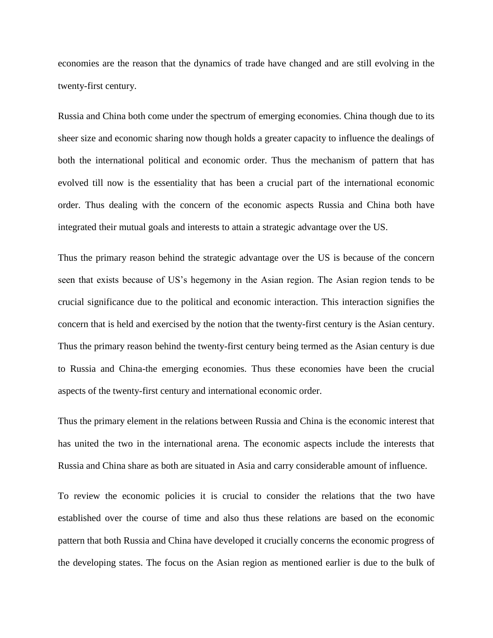economies are the reason that the dynamics of trade have changed and are still evolving in the twenty-first century.

Russia and China both come under the spectrum of emerging economies. China though due to its sheer size and economic sharing now though holds a greater capacity to influence the dealings of both the international political and economic order. Thus the mechanism of pattern that has evolved till now is the essentiality that has been a crucial part of the international economic order. Thus dealing with the concern of the economic aspects Russia and China both have integrated their mutual goals and interests to attain a strategic advantage over the US.

Thus the primary reason behind the strategic advantage over the US is because of the concern seen that exists because of US's hegemony in the Asian region. The Asian region tends to be crucial significance due to the political and economic interaction. This interaction signifies the concern that is held and exercised by the notion that the twenty-first century is the Asian century. Thus the primary reason behind the twenty-first century being termed as the Asian century is due to Russia and China-the emerging economies. Thus these economies have been the crucial aspects of the twenty-first century and international economic order.

Thus the primary element in the relations between Russia and China is the economic interest that has united the two in the international arena. The economic aspects include the interests that Russia and China share as both are situated in Asia and carry considerable amount of influence.

To review the economic policies it is crucial to consider the relations that the two have established over the course of time and also thus these relations are based on the economic pattern that both Russia and China have developed it crucially concerns the economic progress of the developing states. The focus on the Asian region as mentioned earlier is due to the bulk of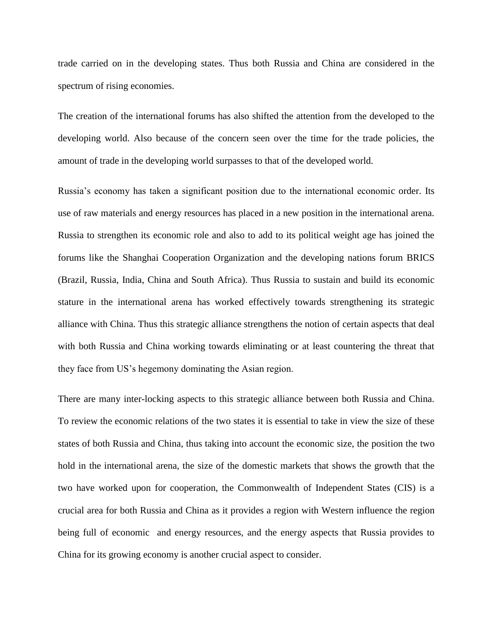trade carried on in the developing states. Thus both Russia and China are considered in the spectrum of rising economies.

The creation of the international forums has also shifted the attention from the developed to the developing world. Also because of the concern seen over the time for the trade policies, the amount of trade in the developing world surpasses to that of the developed world.

Russia's economy has taken a significant position due to the international economic order. Its use of raw materials and energy resources has placed in a new position in the international arena. Russia to strengthen its economic role and also to add to its political weight age has joined the forums like the Shanghai Cooperation Organization and the developing nations forum BRICS (Brazil, Russia, India, China and South Africa). Thus Russia to sustain and build its economic stature in the international arena has worked effectively towards strengthening its strategic alliance with China. Thus this strategic alliance strengthens the notion of certain aspects that deal with both Russia and China working towards eliminating or at least countering the threat that they face from US's hegemony dominating the Asian region.

There are many inter-locking aspects to this strategic alliance between both Russia and China. To review the economic relations of the two states it is essential to take in view the size of these states of both Russia and China, thus taking into account the economic size, the position the two hold in the international arena, the size of the domestic markets that shows the growth that the two have worked upon for cooperation, the Commonwealth of Independent States (CIS) is a crucial area for both Russia and China as it provides a region with Western influence the region being full of economic and energy resources, and the energy aspects that Russia provides to China for its growing economy is another crucial aspect to consider.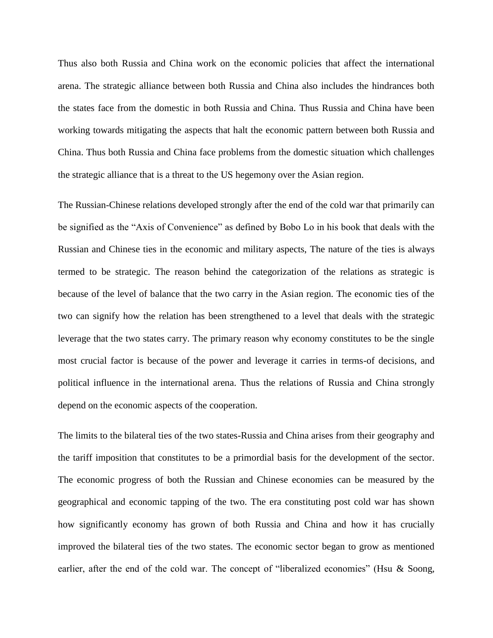Thus also both Russia and China work on the economic policies that affect the international arena. The strategic alliance between both Russia and China also includes the hindrances both the states face from the domestic in both Russia and China. Thus Russia and China have been working towards mitigating the aspects that halt the economic pattern between both Russia and China. Thus both Russia and China face problems from the domestic situation which challenges the strategic alliance that is a threat to the US hegemony over the Asian region.

The Russian-Chinese relations developed strongly after the end of the cold war that primarily can be signified as the "Axis of Convenience" as defined by Bobo Lo in his book that deals with the Russian and Chinese ties in the economic and military aspects, The nature of the ties is always termed to be strategic. The reason behind the categorization of the relations as strategic is because of the level of balance that the two carry in the Asian region. The economic ties of the two can signify how the relation has been strengthened to a level that deals with the strategic leverage that the two states carry. The primary reason why economy constitutes to be the single most crucial factor is because of the power and leverage it carries in terms-of decisions, and political influence in the international arena. Thus the relations of Russia and China strongly depend on the economic aspects of the cooperation.

The limits to the bilateral ties of the two states-Russia and China arises from their geography and the tariff imposition that constitutes to be a primordial basis for the development of the sector. The economic progress of both the Russian and Chinese economies can be measured by the geographical and economic tapping of the two. The era constituting post cold war has shown how significantly economy has grown of both Russia and China and how it has crucially improved the bilateral ties of the two states. The economic sector began to grow as mentioned earlier, after the end of the cold war. The concept of "liberalized economies" (Hsu & Soong,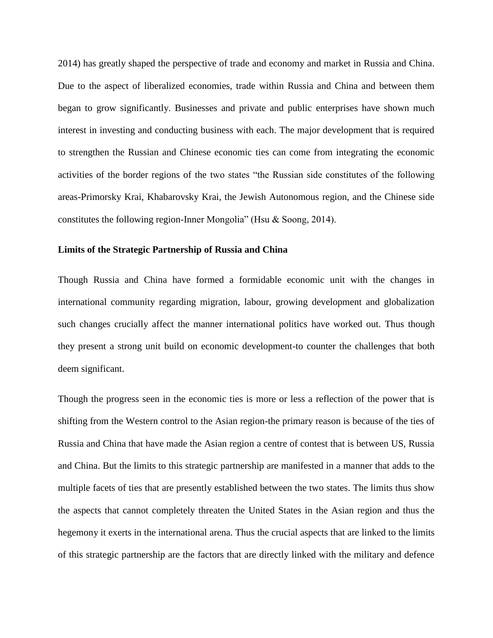2014) has greatly shaped the perspective of trade and economy and market in Russia and China. Due to the aspect of liberalized economies, trade within Russia and China and between them began to grow significantly. Businesses and private and public enterprises have shown much interest in investing and conducting business with each. The major development that is required to strengthen the Russian and Chinese economic ties can come from integrating the economic activities of the border regions of the two states "the Russian side constitutes of the following areas-Primorsky Krai, Khabarovsky Krai, the Jewish Autonomous region, and the Chinese side constitutes the following region-Inner Mongolia" (Hsu & Soong, 2014).

#### **Limits of the Strategic Partnership of Russia and China**

Though Russia and China have formed a formidable economic unit with the changes in international community regarding migration, labour, growing development and globalization such changes crucially affect the manner international politics have worked out. Thus though they present a strong unit build on economic development-to counter the challenges that both deem significant.

Though the progress seen in the economic ties is more or less a reflection of the power that is shifting from the Western control to the Asian region-the primary reason is because of the ties of Russia and China that have made the Asian region a centre of contest that is between US, Russia and China. But the limits to this strategic partnership are manifested in a manner that adds to the multiple facets of ties that are presently established between the two states. The limits thus show the aspects that cannot completely threaten the United States in the Asian region and thus the hegemony it exerts in the international arena. Thus the crucial aspects that are linked to the limits of this strategic partnership are the factors that are directly linked with the military and defence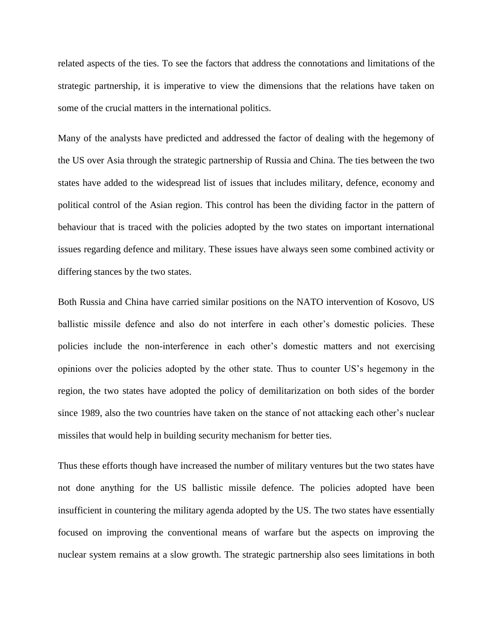related aspects of the ties. To see the factors that address the connotations and limitations of the strategic partnership, it is imperative to view the dimensions that the relations have taken on some of the crucial matters in the international politics.

Many of the analysts have predicted and addressed the factor of dealing with the hegemony of the US over Asia through the strategic partnership of Russia and China. The ties between the two states have added to the widespread list of issues that includes military, defence, economy and political control of the Asian region. This control has been the dividing factor in the pattern of behaviour that is traced with the policies adopted by the two states on important international issues regarding defence and military. These issues have always seen some combined activity or differing stances by the two states.

Both Russia and China have carried similar positions on the NATO intervention of Kosovo, US ballistic missile defence and also do not interfere in each other's domestic policies. These policies include the non-interference in each other's domestic matters and not exercising opinions over the policies adopted by the other state. Thus to counter US's hegemony in the region, the two states have adopted the policy of demilitarization on both sides of the border since 1989, also the two countries have taken on the stance of not attacking each other's nuclear missiles that would help in building security mechanism for better ties.

Thus these efforts though have increased the number of military ventures but the two states have not done anything for the US ballistic missile defence. The policies adopted have been insufficient in countering the military agenda adopted by the US. The two states have essentially focused on improving the conventional means of warfare but the aspects on improving the nuclear system remains at a slow growth. The strategic partnership also sees limitations in both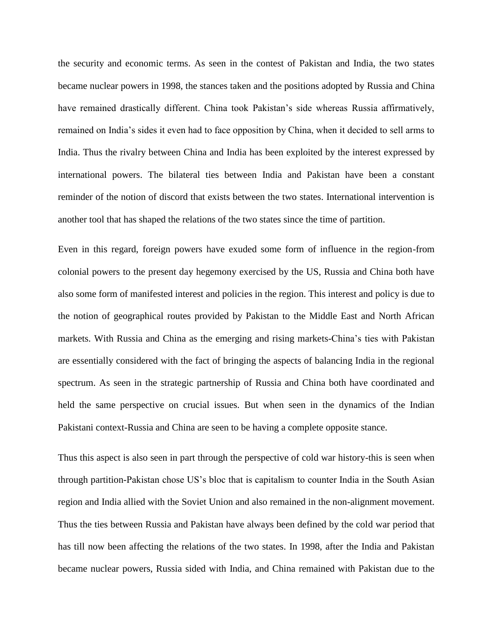the security and economic terms. As seen in the contest of Pakistan and India, the two states became nuclear powers in 1998, the stances taken and the positions adopted by Russia and China have remained drastically different. China took Pakistan's side whereas Russia affirmatively, remained on India's sides it even had to face opposition by China, when it decided to sell arms to India. Thus the rivalry between China and India has been exploited by the interest expressed by international powers. The bilateral ties between India and Pakistan have been a constant reminder of the notion of discord that exists between the two states. International intervention is another tool that has shaped the relations of the two states since the time of partition.

Even in this regard, foreign powers have exuded some form of influence in the region-from colonial powers to the present day hegemony exercised by the US, Russia and China both have also some form of manifested interest and policies in the region. This interest and policy is due to the notion of geographical routes provided by Pakistan to the Middle East and North African markets. With Russia and China as the emerging and rising markets-China's ties with Pakistan are essentially considered with the fact of bringing the aspects of balancing India in the regional spectrum. As seen in the strategic partnership of Russia and China both have coordinated and held the same perspective on crucial issues. But when seen in the dynamics of the Indian Pakistani context-Russia and China are seen to be having a complete opposite stance.

Thus this aspect is also seen in part through the perspective of cold war history-this is seen when through partition-Pakistan chose US's bloc that is capitalism to counter India in the South Asian region and India allied with the Soviet Union and also remained in the non-alignment movement. Thus the ties between Russia and Pakistan have always been defined by the cold war period that has till now been affecting the relations of the two states. In 1998, after the India and Pakistan became nuclear powers, Russia sided with India, and China remained with Pakistan due to the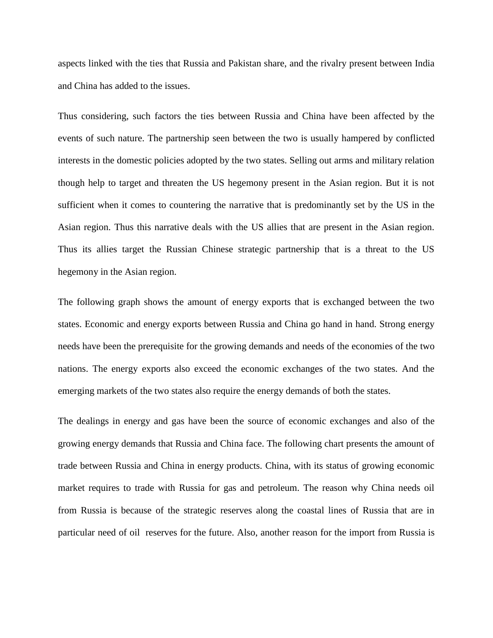aspects linked with the ties that Russia and Pakistan share, and the rivalry present between India and China has added to the issues.

Thus considering, such factors the ties between Russia and China have been affected by the events of such nature. The partnership seen between the two is usually hampered by conflicted interests in the domestic policies adopted by the two states. Selling out arms and military relation though help to target and threaten the US hegemony present in the Asian region. But it is not sufficient when it comes to countering the narrative that is predominantly set by the US in the Asian region. Thus this narrative deals with the US allies that are present in the Asian region. Thus its allies target the Russian Chinese strategic partnership that is a threat to the US hegemony in the Asian region.

The following graph shows the amount of energy exports that is exchanged between the two states. Economic and energy exports between Russia and China go hand in hand. Strong energy needs have been the prerequisite for the growing demands and needs of the economies of the two nations. The energy exports also exceed the economic exchanges of the two states. And the emerging markets of the two states also require the energy demands of both the states.

The dealings in energy and gas have been the source of economic exchanges and also of the growing energy demands that Russia and China face. The following chart presents the amount of trade between Russia and China in energy products. China, with its status of growing economic market requires to trade with Russia for gas and petroleum. The reason why China needs oil from Russia is because of the strategic reserves along the coastal lines of Russia that are in particular need of oil reserves for the future. Also, another reason for the import from Russia is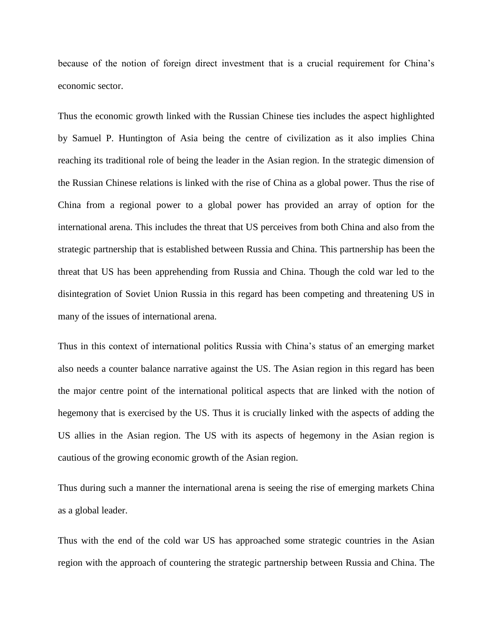because of the notion of foreign direct investment that is a crucial requirement for China's economic sector.

Thus the economic growth linked with the Russian Chinese ties includes the aspect highlighted by Samuel P. Huntington of Asia being the centre of civilization as it also implies China reaching its traditional role of being the leader in the Asian region. In the strategic dimension of the Russian Chinese relations is linked with the rise of China as a global power. Thus the rise of China from a regional power to a global power has provided an array of option for the international arena. This includes the threat that US perceives from both China and also from the strategic partnership that is established between Russia and China. This partnership has been the threat that US has been apprehending from Russia and China. Though the cold war led to the disintegration of Soviet Union Russia in this regard has been competing and threatening US in many of the issues of international arena.

Thus in this context of international politics Russia with China's status of an emerging market also needs a counter balance narrative against the US. The Asian region in this regard has been the major centre point of the international political aspects that are linked with the notion of hegemony that is exercised by the US. Thus it is crucially linked with the aspects of adding the US allies in the Asian region. The US with its aspects of hegemony in the Asian region is cautious of the growing economic growth of the Asian region.

Thus during such a manner the international arena is seeing the rise of emerging markets China as a global leader.

Thus with the end of the cold war US has approached some strategic countries in the Asian region with the approach of countering the strategic partnership between Russia and China. The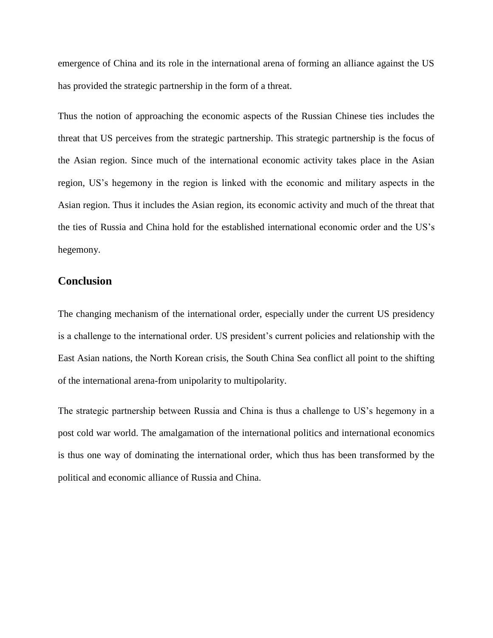emergence of China and its role in the international arena of forming an alliance against the US has provided the strategic partnership in the form of a threat.

Thus the notion of approaching the economic aspects of the Russian Chinese ties includes the threat that US perceives from the strategic partnership. This strategic partnership is the focus of the Asian region. Since much of the international economic activity takes place in the Asian region, US's hegemony in the region is linked with the economic and military aspects in the Asian region. Thus it includes the Asian region, its economic activity and much of the threat that the ties of Russia and China hold for the established international economic order and the US's hegemony.

### **Conclusion**

The changing mechanism of the international order, especially under the current US presidency is a challenge to the international order. US president's current policies and relationship with the East Asian nations, the North Korean crisis, the South China Sea conflict all point to the shifting of the international arena-from unipolarity to multipolarity.

The strategic partnership between Russia and China is thus a challenge to US's hegemony in a post cold war world. The amalgamation of the international politics and international economics is thus one way of dominating the international order, which thus has been transformed by the political and economic alliance of Russia and China.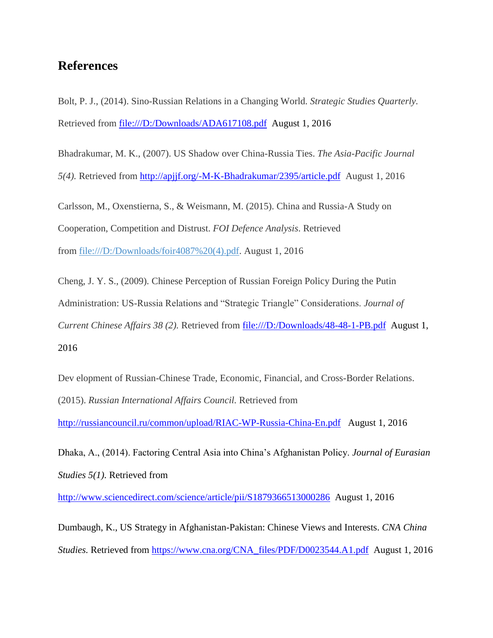## **References**

Bolt, P. J., (2014). Sino-Russian Relations in a Changing World. *Strategic Studies Quarterly.*  Retrieved from<file:///D:/Downloads/ADA617108.pdf>August 1, 2016

Bhadrakumar, M. K., (2007). US Shadow over China-Russia Ties. *The Asia-Pacific Journal 5(4).* Retrieved from<http://apjjf.org/-M-K-Bhadrakumar/2395/article.pdf>August 1, 2016

Carlsson, M., Oxenstierna, S., & Weismann, M. (2015). China and Russia-A Study on Cooperation, Competition and Distrust. *FOI Defence Analysis*. Retrieved from [file:///D:/Downloads/foir4087%20\(4\).pdf.](file:///D:/Downloads/foir4087%20(4).pdf) August 1, 2016

Cheng, J. Y. S., (2009). Chinese Perception of Russian Foreign Policy During the Putin Administration: US-Russia Relations and "Strategic Triangle" Considerations. *Journal of Current Chinese Affairs 38 (2).* Retrieved from<file:///D:/Downloads/48-48-1-PB.pdf>August 1, 2016

Dev elopment of Russian-Chinese Trade, Economic, Financial, and Cross-Border Relations. (2015). *Russian International Affairs Council.* Retrieved from

<http://russiancouncil.ru/common/upload/RIAC-WP-Russia-China-En.pdf>August 1, 2016

Dhaka, A., (2014). Factoring Central Asia into China's Afghanistan Policy. *Journal of Eurasian Studies 5(1).* Retrieved from

<http://www.sciencedirect.com/science/article/pii/S1879366513000286>August 1, 2016

Dumbaugh, K., US Strategy in Afghanistan-Pakistan: Chinese Views and Interests. *CNA China Studies.* Retrieved from [https://www.cna.org/CNA\\_files/PDF/D0023544.A1.pdf](https://www.cna.org/CNA_files/PDF/D0023544.A1.pdf) August 1, 2016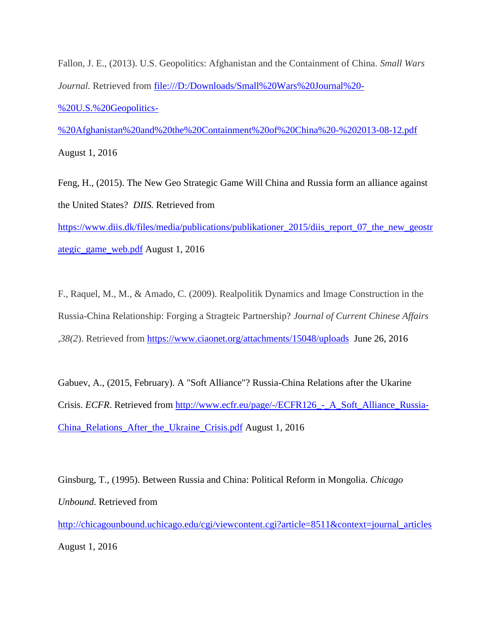Fallon, J. E., (2013). U.S. Geopolitics: Afghanistan and the Containment of China. *Small Wars Journal.* Retrieved from [file:///D:/Downloads/Small%20Wars%20Journal%20-](file:///D:/Downloads/Small%20Wars%20Journal%20-%20U.S.%20Geopolitics-%20Afghanistan%20and%20the%20Containment%20of%20China%20-%202013-08-12.pdf) [%20U.S.%20Geopolitics-](file:///D:/Downloads/Small%20Wars%20Journal%20-%20U.S.%20Geopolitics-%20Afghanistan%20and%20the%20Containment%20of%20China%20-%202013-08-12.pdf)

[%20Afghanistan%20and%20the%20Containment%20of%20China%20-%202013-08-12.pdf](file:///D:/Downloads/Small%20Wars%20Journal%20-%20U.S.%20Geopolitics-%20Afghanistan%20and%20the%20Containment%20of%20China%20-%202013-08-12.pdf) August 1, 2016

Feng, H., (2015). The New Geo Strategic Game Will China and Russia form an alliance against the United States? *DIIS.* Retrieved from [https://www.diis.dk/files/media/publications/publikationer\\_2015/diis\\_report\\_07\\_the\\_new\\_geostr](https://www.diis.dk/files/media/publications/publikationer_2015/diis_report_07_the_new_geostrategic_game_web.pdf)

[ategic\\_game\\_web.pdf](https://www.diis.dk/files/media/publications/publikationer_2015/diis_report_07_the_new_geostrategic_game_web.pdf) August 1, 2016

F., Raquel, M., M., & Amado, C. (2009). Realpolitik Dynamics and Image Construction in the Russia-China Relationship: Forging a Stragteic Partnership? *Journal of Current Chinese Affairs ,38(2*). Retrieved from <https://www.ciaonet.org/attachments/15048/uploads>June 26, 2016

Gabuev, A., (2015, February). A "Soft Alliance"? Russia-China Relations after the Ukarine Crisis. *ECFR*. Retrieved from http://www.ecfr.eu/page/-/ECFR126<sub>-</sub> A\_Soft\_Alliance\_Russia-[China\\_Relations\\_After\\_the\\_Ukraine\\_Crisis.pdf](http://www.ecfr.eu/page/-/ECFR126_-_A_Soft_Alliance_Russia-China_Relations_After_the_Ukraine_Crisis.pdf) August 1, 2016

Ginsburg, T., (1995). Between Russia and China: Political Reform in Mongolia. *Chicago Unbound.* Retrieved from

[http://chicagounbound.uchicago.edu/cgi/viewcontent.cgi?article=8511&context=journal\\_articles](http://chicagounbound.uchicago.edu/cgi/viewcontent.cgi?article=8511&context=journal_articles) August 1, 2016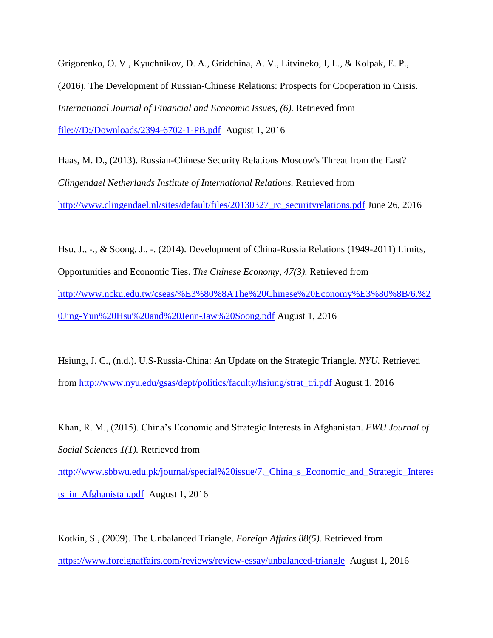Grigorenko, O. V., Kyuchnikov, D. A., Gridchina, A. V., Litvineko, I, L., & Kolpak, E. P., (2016). The Development of Russian-Chinese Relations: Prospects for Cooperation in Crisis. *International Journal of Financial and Economic Issues, (6).* Retrieved from <file:///D:/Downloads/2394-6702-1-PB.pdf>August 1, 2016

Haas, M. D., (2013). Russian-Chinese Security Relations Moscow's Threat from the East? *Clingendael Netherlands Institute of International Relations.* Retrieved from [http://www.clingendael.nl/sites/default/files/20130327\\_rc\\_securityrelations.pdf](http://www.clingendael.nl/sites/default/files/20130327_rc_securityrelations.pdf) June 26, 2016

Hsu, J., -., & Soong, J., -. (2014). Development of China-Russia Relations (1949-2011) Limits, Opportunities and Economic Ties. *The Chinese Economy, 47(3).* Retrieved from [http://www.ncku.edu.tw/cseas/%E3%80%8AThe%20Chinese%20Economy%E3%80%8B/6.%2](http://www.ncku.edu.tw/cseas/%E3%80%8AThe%20Chinese%20Economy%E3%80%8B/6.%20Jing-Yun%20Hsu%20and%20Jenn-Jaw%20Soong.pdf) [0Jing-Yun%20Hsu%20and%20Jenn-Jaw%20Soong.pdf](http://www.ncku.edu.tw/cseas/%E3%80%8AThe%20Chinese%20Economy%E3%80%8B/6.%20Jing-Yun%20Hsu%20and%20Jenn-Jaw%20Soong.pdf) August 1, 2016

Hsiung, J. C., (n.d.). U.S-Russia-China: An Update on the Strategic Triangle. *NYU.* Retrieved from [http://www.nyu.edu/gsas/dept/politics/faculty/hsiung/strat\\_tri.pdf](http://www.nyu.edu/gsas/dept/politics/faculty/hsiung/strat_tri.pdf) August 1, 2016

Khan, R. M., (2015). China's Economic and Strategic Interests in Afghanistan. *FWU Journal of Social Sciences 1(1).* Retrieved from [http://www.sbbwu.edu.pk/journal/special%20issue/7.\\_China\\_s\\_Economic\\_and\\_Strategic\\_Interes](http://www.sbbwu.edu.pk/journal/special%20issue/7._China_s_Economic_and_Strategic_Interests_in_Afghanistan.pdf) [ts\\_in\\_Afghanistan.pdf](http://www.sbbwu.edu.pk/journal/special%20issue/7._China_s_Economic_and_Strategic_Interests_in_Afghanistan.pdf) August 1, 2016

Kotkin, S., (2009). The Unbalanced Triangle. *Foreign Affairs 88(5).* Retrieved from <https://www.foreignaffairs.com/reviews/review-essay/unbalanced-triangle>August 1, 2016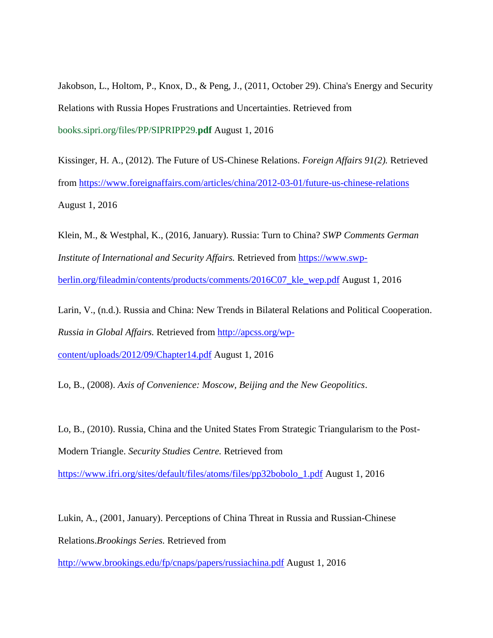Jakobson, L., Holtom, P., Knox, D., & Peng, J., (2011, October 29). China's Energy and Security Relations with Russia Hopes Frustrations and Uncertainties. Retrieved from books.sipri.org/files/PP/SIPRIPP29.**pdf** August 1, 2016

Kissinger, H. A., (2012). The Future of US-Chinese Relations. *Foreign Affairs 91(2).* Retrieved from<https://www.foreignaffairs.com/articles/china/2012-03-01/future-us-chinese-relations> August 1, 2016

Klein, M., & Westphal, K., (2016, January). Russia: Turn to China? *SWP Comments German Institute of International and Security Affairs.* Retrieved from [https://www.swp](https://www.swp-berlin.org/fileadmin/contents/products/comments/2016C07_kle_wep.pdf)[berlin.org/fileadmin/contents/products/comments/2016C07\\_kle\\_wep.pdf](https://www.swp-berlin.org/fileadmin/contents/products/comments/2016C07_kle_wep.pdf) August 1, 2016

Larin, V., (n.d.). Russia and China: New Trends in Bilateral Relations and Political Cooperation. *Russia in Global Affairs.* Retrieved from [http://apcss.org/wp](http://apcss.org/wp-content/uploads/2012/09/Chapter14.pdf)[content/uploads/2012/09/Chapter14.pdf](http://apcss.org/wp-content/uploads/2012/09/Chapter14.pdf) August 1, 2016

Lo, B., (2008). *Axis of Convenience: Moscow, Beijing and the New Geopolitics*.

Lo, B., (2010). Russia, China and the United States From Strategic Triangularism to the Post-Modern Triangle. *Security Studies Centre.* Retrieved from

[https://www.ifri.org/sites/default/files/atoms/files/pp32bobolo\\_1.pdf](https://www.ifri.org/sites/default/files/atoms/files/pp32bobolo_1.pdf) August 1, 2016

Lukin, A., (2001, January). Perceptions of China Threat in Russia and Russian-Chinese Relations.*Brookings Series.* Retrieved from

<http://www.brookings.edu/fp/cnaps/papers/russiachina.pdf> August 1, 2016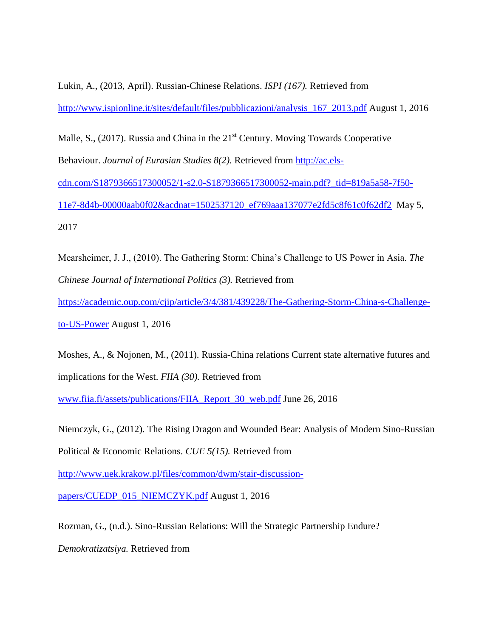Lukin, A., (2013, April). Russian-Chinese Relations. *ISPI (167).* Retrieved from [http://www.ispionline.it/sites/default/files/pubblicazioni/analysis\\_167\\_2013.pdf](http://www.ispionline.it/sites/default/files/pubblicazioni/analysis_167_2013.pdf) August 1, 2016

Malle, S., (2017). Russia and China in the  $21<sup>st</sup>$  Century. Moving Towards Cooperative Behaviour. *Journal of Eurasian Studies 8(2).* Retrieved from [http://ac.els](http://ac.els-cdn.com/S1879366517300052/1-s2.0-S1879366517300052-main.pdf?_tid=819a5a58-7f50-11e7-8d4b-00000aab0f02&acdnat=1502537120_ef769aaa137077e2fd5c8f61c0f62df2)[cdn.com/S1879366517300052/1-s2.0-S1879366517300052-main.pdf?\\_tid=819a5a58-7f50-](http://ac.els-cdn.com/S1879366517300052/1-s2.0-S1879366517300052-main.pdf?_tid=819a5a58-7f50-11e7-8d4b-00000aab0f02&acdnat=1502537120_ef769aaa137077e2fd5c8f61c0f62df2) [11e7-8d4b-00000aab0f02&acdnat=1502537120\\_ef769aaa137077e2fd5c8f61c0f62df2](http://ac.els-cdn.com/S1879366517300052/1-s2.0-S1879366517300052-main.pdf?_tid=819a5a58-7f50-11e7-8d4b-00000aab0f02&acdnat=1502537120_ef769aaa137077e2fd5c8f61c0f62df2) May 5, 2017

Mearsheimer, J. J., (2010). The Gathering Storm: China's Challenge to US Power in Asia. *The Chinese Journal of International Politics (3).* Retrieved from

[https://academic.oup.com/cjip/article/3/4/381/439228/The-Gathering-Storm-China-s-Challenge-](https://academic.oup.com/cjip/article/3/4/381/439228/The-Gathering-Storm-China-s-Challenge-to-US-Power)

[to-US-Power](https://academic.oup.com/cjip/article/3/4/381/439228/The-Gathering-Storm-China-s-Challenge-to-US-Power) August 1, 2016

Moshes, A., & Nojonen, M., (2011). Russia-China relations Current state alternative futures and implications for the West. *FIIA (30).* Retrieved from

[www.fiia.fi/assets/publications/FIIA\\_Report\\_30\\_web.pdf](http://www.fiia.fi/assets/publications/FIIA_Report_30_web.pdf) June 26, 2016

Niemczyk, G., (2012). The Rising Dragon and Wounded Bear: Analysis of Modern Sino-Russian

Political & Economic Relations. *CUE 5(15).* Retrieved from

[http://www.uek.krakow.pl/files/common/dwm/stair-discussion-](http://www.uek.krakow.pl/files/common/dwm/stair-discussion-papers/CUEDP_015_NIEMCZYK.pdf)

[papers/CUEDP\\_015\\_NIEMCZYK.pdf](http://www.uek.krakow.pl/files/common/dwm/stair-discussion-papers/CUEDP_015_NIEMCZYK.pdf) August 1, 2016

Rozman, G., (n.d.). Sino-Russian Relations: Will the Strategic Partnership Endure?

*Demokratizatsiya.* Retrieved from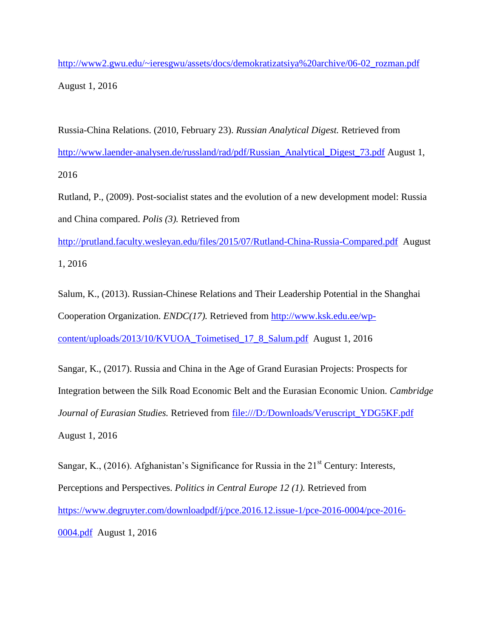[http://www2.gwu.edu/~ieresgwu/assets/docs/demokratizatsiya%20archive/06-02\\_rozman.pdf](http://www2.gwu.edu/~ieresgwu/assets/docs/demokratizatsiya%20archive/06-02_rozman.pdf) August 1, 2016

Russia-China Relations. (2010, February 23). *Russian Analytical Digest.* Retrieved from [http://www.laender-analysen.de/russland/rad/pdf/Russian\\_Analytical\\_Digest\\_73.pdf](http://www.laender-analysen.de/russland/rad/pdf/Russian_Analytical_Digest_73.pdf) August 1, 2016

Rutland, P., (2009). Post-socialist states and the evolution of a new development model: Russia and China compared. *Polis (3).* Retrieved from

<http://prutland.faculty.wesleyan.edu/files/2015/07/Rutland-China-Russia-Compared.pdf>August 1, 2016

Salum, K., (2013). Russian-Chinese Relations and Their Leadership Potential in the Shanghai Cooperation Organization. *ENDC(17).* Retrieved from [http://www.ksk.edu.ee/wp](http://www.ksk.edu.ee/wp-content/uploads/2013/10/KVUOA_Toimetised_17_8_Salum.pdf)[content/uploads/2013/10/KVUOA\\_Toimetised\\_17\\_8\\_Salum.pdf](http://www.ksk.edu.ee/wp-content/uploads/2013/10/KVUOA_Toimetised_17_8_Salum.pdf) August 1, 2016

Sangar, K., (2017). Russia and China in the Age of Grand Eurasian Projects: Prospects for Integration between the Silk Road Economic Belt and the Eurasian Economic Union. *Cambridge Journal of Eurasian Studies.* Retrieved from [file:///D:/Downloads/Veruscript\\_YDG5KF.pdf](file:///D:/Downloads/Veruscript_YDG5KF.pdf)  August 1, 2016

Sangar, K., (2016). Afghanistan's Significance for Russia in the  $21<sup>st</sup>$  Century: Interests, Perceptions and Perspectives. *Politics in Central Europe 12 (1).* Retrieved from [https://www.degruyter.com/downloadpdf/j/pce.2016.12.issue-1/pce-2016-0004/pce-2016-](https://www.degruyter.com/downloadpdf/j/pce.2016.12.issue-1/pce-2016-0004/pce-2016-0004.pdf) [0004.pdf](https://www.degruyter.com/downloadpdf/j/pce.2016.12.issue-1/pce-2016-0004/pce-2016-0004.pdf) August 1, 2016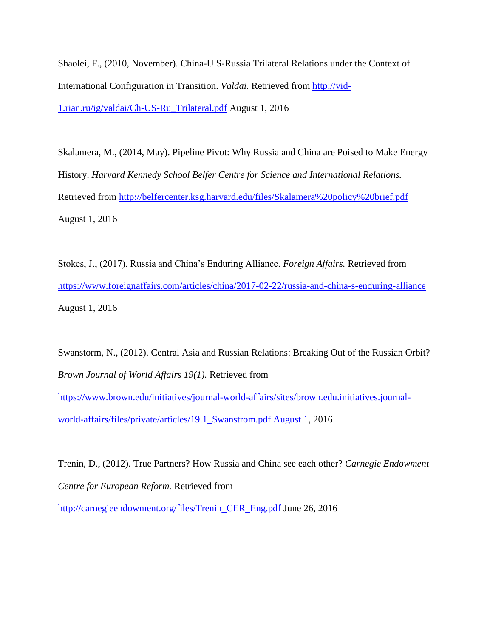Shaolei, F., (2010, November). China-U.S-Russia Trilateral Relations under the Context of International Configuration in Transition. *Valdai.* Retrieved from [http://vid-](http://vid-1.rian.ru/ig/valdai/Ch-US-Ru_Trilateral.pdf)[1.rian.ru/ig/valdai/Ch-US-Ru\\_Trilateral.pdf](http://vid-1.rian.ru/ig/valdai/Ch-US-Ru_Trilateral.pdf) August 1, 2016

Skalamera, M., (2014, May). Pipeline Pivot: Why Russia and China are Poised to Make Energy History. *Harvard Kennedy School Belfer Centre for Science and International Relations.*  Retrieved from<http://belfercenter.ksg.harvard.edu/files/Skalamera%20policy%20brief.pdf> August 1, 2016

Stokes, J., (2017). Russia and China's Enduring Alliance. *Foreign Affairs.* Retrieved from <https://www.foreignaffairs.com/articles/china/2017-02-22/russia-and-china-s-enduring-alliance> August 1, 2016

Swanstorm, N., (2012). Central Asia and Russian Relations: Breaking Out of the Russian Orbit? *Brown Journal of World Affairs 19(1).* Retrieved from

[https://www.brown.edu/initiatives/journal-world-affairs/sites/brown.edu.initiatives.journal](https://www.brown.edu/initiatives/journal-world-affairs/sites/brown.edu.initiatives.journal-world-affairs/files/private/articles/19.1_Swanstrom.pdf%20August%201)[world-affairs/files/private/articles/19.1\\_Swanstrom.pdf August 1,](https://www.brown.edu/initiatives/journal-world-affairs/sites/brown.edu.initiatives.journal-world-affairs/files/private/articles/19.1_Swanstrom.pdf%20August%201) 2016

Trenin, D., (2012). True Partners? How Russia and China see each other? *Carnegie Endowment Centre for European Reform.* Retrieved from

[http://carnegieendowment.org/files/Trenin\\_CER\\_Eng.pdf](http://carnegieendowment.org/files/Trenin_CER_Eng.pdf) June 26, 2016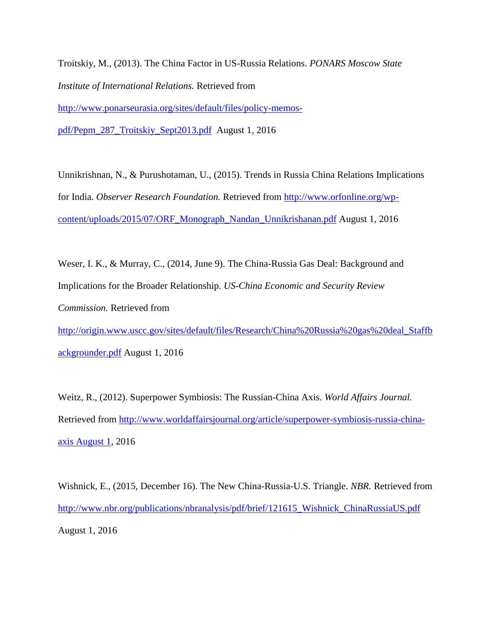Troitskiy, M., (2013). The China Factor in US-Russia Relations. *PONARS Moscow State Institute of International Relations.* Retrieved from [http://www.ponarseurasia.org/sites/default/files/policy-memos-](http://www.ponarseurasia.org/sites/default/files/policy-memos-pdf/Pepm_287_Troitskiy_Sept2013.pdf)

[pdf/Pepm\\_287\\_Troitskiy\\_Sept2013.pdf](http://www.ponarseurasia.org/sites/default/files/policy-memos-pdf/Pepm_287_Troitskiy_Sept2013.pdf) August 1, 2016

Unnikrishnan, N., & Purushotaman, U., (2015). Trends in Russia China Relations Implications for India. *Observer Research Foundation.* Retrieved from [http://www.orfonline.org/wp](http://www.orfonline.org/wp-content/uploads/2015/07/ORF_Monograph_Nandan_Unnikrishanan.pdf)[content/uploads/2015/07/ORF\\_Monograph\\_Nandan\\_Unnikrishanan.pdf](http://www.orfonline.org/wp-content/uploads/2015/07/ORF_Monograph_Nandan_Unnikrishanan.pdf) August 1, 2016

Weser, I. K., & Murray, C., (2014, June 9). The China-Russia Gas Deal: Background and Implications for the Broader Relationship. *US-China Economic and Security Review Commission.* Retrieved from [http://origin.www.uscc.gov/sites/default/files/Research/China%20Russia%20gas%20deal\\_Staffb](http://origin.www.uscc.gov/sites/default/files/Research/China%20Russia%20gas%20deal_Staffbackgrounder.pdf)

[ackgrounder.pdf](http://origin.www.uscc.gov/sites/default/files/Research/China%20Russia%20gas%20deal_Staffbackgrounder.pdf) August 1, 2016

Weitz, R., (2012). Superpower Symbiosis: The Russian-China Axis. *World Affairs Journal.*  Retrieved from [http://www.worldaffairsjournal.org/article/superpower-symbiosis-russia-china](http://www.worldaffairsjournal.org/article/superpower-symbiosis-russia-china-axis%20August%201)[axis August 1,](http://www.worldaffairsjournal.org/article/superpower-symbiosis-russia-china-axis%20August%201) 2016

Wishnick, E., (2015, December 16). The New China-Russia-U.S. Triangle. *NBR.* Retrieved from [http://www.nbr.org/publications/nbranalysis/pdf/brief/121615\\_Wishnick\\_ChinaRussiaUS.pdf](http://www.nbr.org/publications/nbranalysis/pdf/brief/121615_Wishnick_ChinaRussiaUS.pdf) August 1, 2016